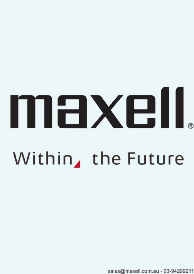# maxell Within, the Future

sales@maxell.com.au - 03-94299211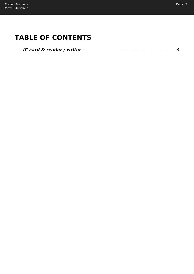# **TABLE OF CONTENTS**

| IC card & reader / writer manufactured and the card & reader / writer manufactured and the card & |  |
|---------------------------------------------------------------------------------------------------|--|
|                                                                                                   |  |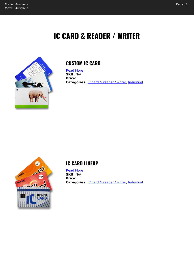# **IC CARD & READER / WRITER**

<span id="page-2-0"></span>

## **CUSTOM IC CARD**

[Read More](https://maxell.com.au/shop/industrial/ic-card-reader-writer/custom-ic-card/) **SKU:** N/A **Price: Categories:** [IC card & reader / writer](https://maxell.com.au/product-category/industrial/ic-card-reader-writer/), [Industrial](https://maxell.com.au/product-category/industrial/)



#### **IC CARD LINEUP**

[Read More](https://maxell.com.au/shop/industrial/ic-card-reader-writer/ic-card-lineup/) **SKU:** N/A **Price: Categories:** [IC card & reader / writer](https://maxell.com.au/product-category/industrial/ic-card-reader-writer/), [Industrial](https://maxell.com.au/product-category/industrial/)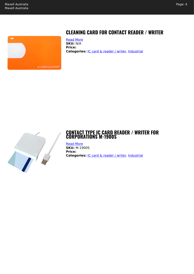

## **CLEANING CARD FOR CONTACT READER / WRITER**

[Read More](https://maxell.com.au/shop/industrial/ic-card-reader-writer/cleaning-card-for-contact-reader-writer/) **SKU:** N/A **Price:** Categories: *[IC card & reader / writer](https://maxell.com.au/product-category/industrial/ic-card-reader-writer/), [Industrial](https://maxell.com.au/product-category/industrial/)* 



#### **CONTACT TYPE IC CARD READER / WRITER FOR CORPORATIONS M-1900S**

[Read More](https://maxell.com.au/shop/industrial/ic-card-reader-writer/contact-type-ic-card-reader-writer-for-corporations-m-1900s/) **SKU:** M-1900S **Price: Categories:** [IC card & reader / writer](https://maxell.com.au/product-category/industrial/ic-card-reader-writer/), [Industrial](https://maxell.com.au/product-category/industrial/)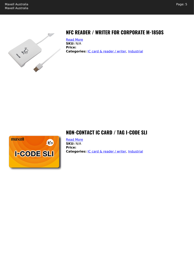



# **NFC READER / WRITER FOR CORPORATE M-1850S**

[Read More](https://maxell.com.au/shop/industrial/ic-card-reader-writer/nfc-reader-writer-for-corporate-m-1850s/) **SKU:** N/A **Price:** Categories: **[IC card & reader / writer](https://maxell.com.au/product-category/industrial/ic-card-reader-writer/), [Industrial](https://maxell.com.au/product-category/industrial/)** 



### **NON-CONTACT IC CARD / TAG I-CODE SLI**

[Read More](https://maxell.com.au/shop/industrial/ic-card-reader-writer/non-contact-ic-card-tag-i-code-sli/) **SKU:** N/A **Price: Categories: [IC card & reader / writer](https://maxell.com.au/product-category/industrial/ic-card-reader-writer/), [Industrial](https://maxell.com.au/product-category/industrial/)**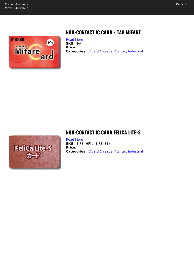

# **NON-CONTACT IC CARD / TAG MIFARE**

[Read More](https://maxell.com.au/shop/industrial/ic-card-reader-writer/non-contact-ic-card-tag-mifare/) **SKU:** N/A **Price:** Categories: **[IC card & reader / writer](https://maxell.com.au/product-category/industrial/ic-card-reader-writer/), [Industrial](https://maxell.com.au/product-category/industrial/)** 



#### **NON-CONTACT IC CARD FELICA LITE-S**

[Read More](https://maxell.com.au/shop/industrial/ic-card-reader-writer/non-contact-ic-card-felica-lite-s/) **SKU:** IE-FS (HP) / IE-FS (SE) **Price: Categories:** [IC card & reader / writer](https://maxell.com.au/product-category/industrial/ic-card-reader-writer/), [Industrial](https://maxell.com.au/product-category/industrial/)